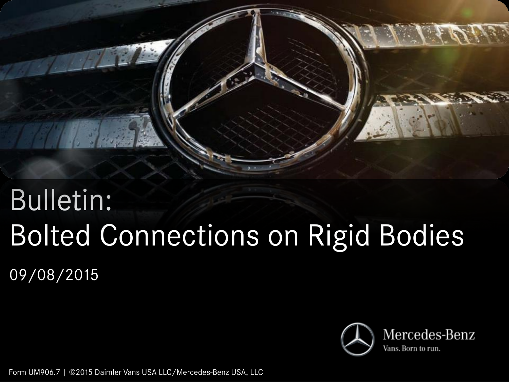

# Bulletin: Bolted Connections on Rigid Bodies 09/08/2015



Form UM906.7 | ©2015 Daimler Vans USA LLC/Mercedes-Benz USA, LLC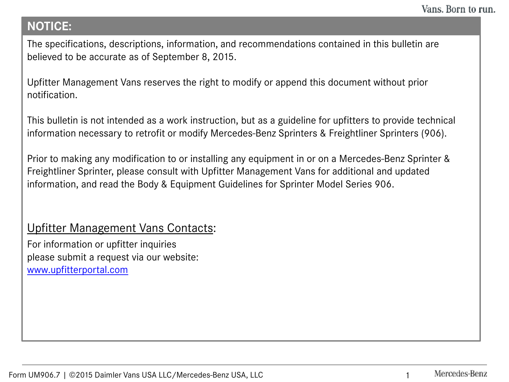## **NOTICE:**

The specifications, descriptions, information, and recommendations contained in this bulletin are believed to be accurate as of September 8, 2015.

Upfitter Management Vans reserves the right to modify or append this document without prior notification.

This bulletin is not intended as a work instruction, but as a guideline for upfitters to provide technical information necessary to retrofit or modify Mercedes-Benz Sprinters & Freightliner Sprinters (906).

Prior to making any modification to or installing any equipment in or on a Mercedes-Benz Sprinter & Freightliner Sprinter, please consult with Upfitter Management Vans for additional and updated information, and read the Body & Equipment Guidelines for Sprinter Model Series 906.

## Upfitter Management Vans Contacts:

For information or upfitter inquiries please submit a request via our website: [www.upfitterportal.com](http://www.upfitterportalcom/)